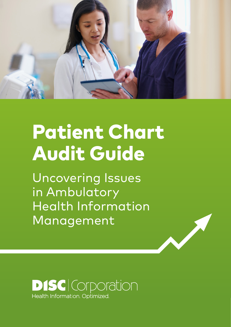

# Patient Chart Audit Guide

Uncovering Issues in Ambulatory Health Information Management

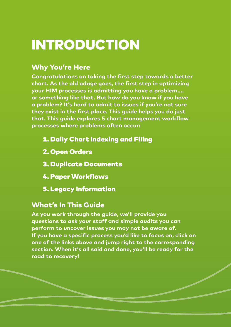# INTRODUCTION

# Why You're Here

**Congratulations on taking the first step towards a better chart. As the old adage goes, the first step in optimizing your HIM processes is admitting you have a problem…. or something like that. But how do you know if you have a problem? It's hard to admit to issues if you're not sure they exist in the first place. This guide helps you do just that. This guide explores 5 chart management workflow processes where problems often occur:**

- 1. Daily Chart Indexing and Filing
- 2. Open Orders
- 3. Duplicate Documents
- 4.Paper Workflows
- 5. Legacy Information

# What's In This Guide

**As you work through the guide, we'll provide you questions to ask your staff and simple audits you can perform to uncover issues you may not be aware of. If you have a specific process you'd like to focus on, click on one of the links above and jump right to the corresponding section. When it's all said and done, you'll be ready for the road to recovery!**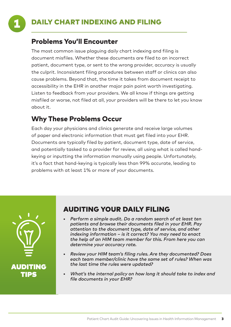

#### Problems You'll Encounter

The most common issue plaguing daily chart indexing and filing is document misfiles. Whether these documents are filed to an incorrect patient, document type, or sent to the wrong provider, accuracy is usually the culprit. Inconsistent filing procedures between staff or clinics can also cause problems. Beyond that, the time it takes from document receipt to accessibility in the EHR in another major pain point worth investigating. Listen to feedback from your providers. We all know if things are getting misfiled or worse, not filed at all, your providers will be there to let you know about it.

# Why These Problems Occur

Each day your physicians and clinics generate and receive large volumes of paper and electronic information that must get filed into your EHR. Documents are typically filed by patient, document type, date of service, and potentially tasked to a provider for review, all using what is called handkeying or inputting the information manually using people. Unfortunately, it's a fact that hand-keying is typically less than 99% accurate, leading to problems with at least 1% or more of your documents.



# AUDITING YOUR DAILY FILING

- *• Perform a simple audit. Do a random search of at least ten patients and browse their documents filed in your EHR. Pay attention to the document type, date of service, and other indexing information – is it correct? You may need to enact the help of an HIM team member for this. From here you can determine your accuracy rate.*
- *• Review your HIM team's filing rules. Are they documented? Does each team member/clinic have the same set of rules? When was the last time the rules were updated?*
- *• What's the internal policy on how long it should take to index and file documents in your EHR?*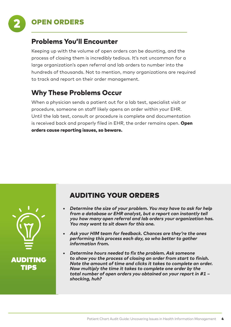

#### Problems You'll Encounter

Keeping up with the volume of open orders can be daunting, and the process of closing them is incredibly tedious. It's not uncommon for a large organization's open referral and lab orders to number into the hundreds of thousands. Not to mention, many organizations are required to track and report on their order management.

# Why These Problems Occur

When a physician sends a patient out for a lab test, specialist visit or procedure, someone on staff likely opens an order within your EHR. Until the lab test, consult or procedure is complete and documentation is received back and properly filed in EHR, the order remains open. Open orders cause reporting issues, so beware.



# AUDITING YOUR ORDERS

- *• Determine the size of your problem. You may have to ask for help from a database or EHR analyst, but a report can instantly tell you how many open referral and lab orders your organization has. You may want to sit down for this one.*
- *• Ask your HIM team for feedback. Chances are they're the ones performing this process each day, so who better to gather information from.*
- *• Determine hours needed to fix the problem. Ask someone to show you the process of closing an order from start to finish. Note the amount of time and clicks it takes to complete an order. Now multiply the time it takes to complete one order by the total number of open orders you obtained on your report in #1 – shocking, huh?*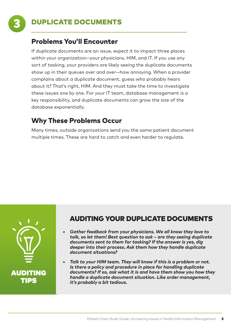

# DUPLICATE DOCUMENTS

#### Problems You'll Encounter

If duplicate documents are an issue, expect it to impact three places within your organization—your physicians, HIM, and IT. If you use any sort of tasking, your providers are likely seeing the duplicate documents show up in their queues over and over—how annoying. When a provider complains about a duplicate document, guess who probably hears about it? That's right, HIM. And they must take the time to investigate these issues one by one. For your IT team, database management is a key responsibility, and duplicate documents can grow the size of the database exponentially.

# Why These Problems Occur

Many times, outside organizations send you the same patient document multiple times. These are hard to catch and even harder to regulate.



# AUDITING YOUR DUPLICATE DOCUMENTS

- *• Gather feedback from your physicians. We all know they love to talk, so let them! Best question to ask – are they seeing duplicate documents sent to them for tasking? If the answer is yes, dig deeper into their process. Ask them how they handle duplicate document situations?*
- *• Talk to your HIM team. They will know if this is a problem or not. Is there a policy and procedure in place for handling duplicate documents? If so, ask what it is and have them show you how they handle a duplicate document situation. Like order management, it's probably a bit tedious.*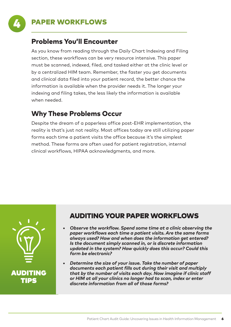

#### PAPER WORKFLOWS

#### Problems You'll Encounter

As you know from reading through the Daily Chart Indexing and Filing section, these workflows can be very resource intensive. This paper must be scanned, indexed, filed, and tasked either at the clinic level or by a centralized HIM team. Remember, the faster you get documents and clinical data filed into your patient record, the better chance the information is available when the provider needs it. The longer your indexing and filing takes, the less likely the information is available when needed.

# Why These Problems Occur

Despite the dream of a paperless office post-EHR implementation, the reality is that's just not reality. Most offices today are still utilizing paper forms each time a patient visits the office because it's the simplest method. These forms are often used for patient registration, internal clinical workflows, HIPAA acknowledgments, and more.



# AUDITING YOUR PAPER WORKFLOWS

- *• Observe the workflow. Spend some time at a clinic observing the paper workflows each time a patient visits. Are the same forms always used? How and when does the information get entered? Is the document simply scanned in, or is discrete information updated in the system? How quickly does this occur? Could this form be electronic?*
- *• Determine the size of your issue. Take the number of paper documents each patient fills out during their visit and multiply that by the number of visits each day. Now imagine if clinic staff or HIM at all your clinics no longer had to scan, index or enter discrete information from all of those forms?*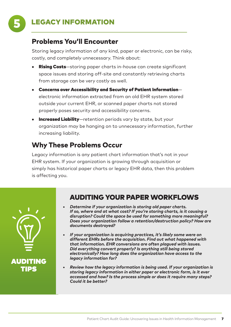

#### Problems You'll Encounter

Storing legacy information of any kind, paper or electronic, can be risky, costly, and completely unnecessary. Think about:

- **Rising Costs**—storing paper charts in-house can create significant space issues and storing off-site and constantly retrieving charts from storage can be very costly as well.
- Concerns over Accessibility and Security of Patient Information electronic information extracted from an old EHR system stored outside your current EHR, or scanned paper charts not stored properly poses security and accessibility concerns.
- Increased Liability-retention periods vary by state, but your organization may be hanging on to unnecessary information, further increasing liability.

# Why These Problems Occur

Legacy information is any patient chart information that's not in your EHR system. If your organization is growing through acquisition or simply has historical paper charts or legacy EHR data, then this problem is affecting you.



# AUDITING YOUR PAPER WORKFLOWS

- *• Determine if your organization is storing old paper charts. If so, where and at what cost? If you're storing charts, is it causing a disruption? Could the space be used for something more meaningful? Does your organization follow a retention/destruction policy? How are documents destroyed?*
- *• If your organization is acquiring practices, it's likely some were on different EHRs before the acquisition. Find out what happened with that information. EHR conversions are often plagued with issues. Did everything convert properly? Is anything still being stored electronically? How long does the organization have access to the legacy information for?*
- *• Review how the legacy information is being used. If your organization is storing legacy information in either paper or electronic form, is it ever accessed and how? Is the process simple or does it require many steps? Could it be better?*